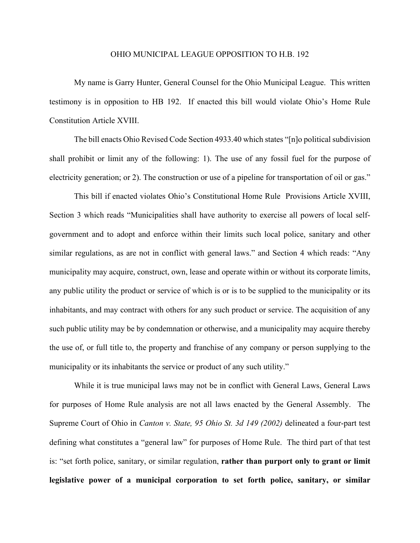## OHIO MUNICIPAL LEAGUE OPPOSITION TO H.B. 192

My name is Garry Hunter, General Counsel for the Ohio Municipal League. This written testimony is in opposition to HB 192. If enacted this bill would violate Ohio's Home Rule Constitution Article XVIII.

The bill enacts Ohio Revised Code Section 4933.40 which states "[n]o political subdivision shall prohibit or limit any of the following: 1). The use of any fossil fuel for the purpose of electricity generation; or 2). The construction or use of a pipeline for transportation of oil or gas."

This bill if enacted violates Ohio's Constitutional Home Rule Provisions Article XVIII, Section 3 which reads "Municipalities shall have authority to exercise all powers of local selfgovernment and to adopt and enforce within their limits such local police, sanitary and other similar regulations, as are not in conflict with general laws." and Section 4 which reads: "Any municipality may acquire, construct, own, lease and operate within or without its corporate limits, any public utility the product or service of which is or is to be supplied to the municipality or its inhabitants, and may contract with others for any such product or service. The acquisition of any such public utility may be by condemnation or otherwise, and a municipality may acquire thereby the use of, or full title to, the property and franchise of any company or person supplying to the municipality or its inhabitants the service or product of any such utility."

While it is true municipal laws may not be in conflict with General Laws, General Laws for purposes of Home Rule analysis are not all laws enacted by the General Assembly. The Supreme Court of Ohio in *Canton v. State, 95 Ohio St. 3d 149 (2002)* delineated a four-part test defining what constitutes a "general law" for purposes of Home Rule. The third part of that test is: "set forth police, sanitary, or similar regulation, **rather than purport only to grant or limit legislative power of a municipal corporation to set forth police, sanitary, or similar**